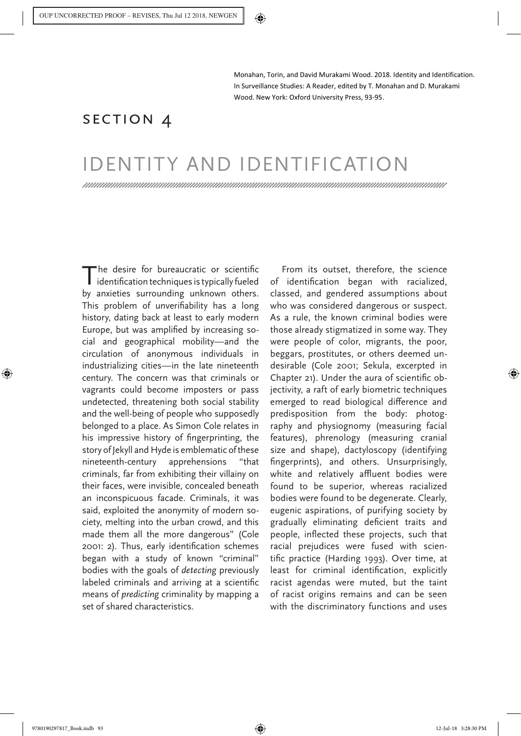Monahan, Torin, and David Murakami Wood. 2018. Identity and Identification. In Surveillance Studies: A Reader, edited by T. Monahan and D. Murakami Wood. New York: Oxford University Press, 93-95.

## SECTION 4

## IDENTITY AND IDENTIFICATION

The desire for bureaucratic or scientific identification techniques is typically fueled by anxieties surrounding unknown others. This problem of unverifiability has a long history, dating back at least to early modern Europe, but was amplified by increasing social and geographical mobility—and the circulation of anonymous individuals in industrializing cities—in the late nineteenth century. The concern was that criminals or vagrants could become imposters or pass undetected, threatening both social stability and the well-being of people who supposedly belonged to a place. As Simon Cole relates in his impressive history of fingerprinting, the story of Jekyll and Hyde is emblematic of these nineteenth-century apprehensions "that criminals, far from exhibiting their villainy on their faces, were invisible, concealed beneath an inconspicuous facade. Criminals, it was said, exploited the anonymity of modern society, melting into the urban crowd, and this made them all the more dangerous" (Cole 2001: 2). Thus, early identification schemes began with a study of known "criminal" bodies with the goals of *detecting* previously labeled criminals and arriving at a scientific means of *predicting* criminality by mapping a set of shared characteristics.

From its outset, therefore, the science of identification began with racialized, classed, and gendered assumptions about who was considered dangerous or suspect. As a rule, the known criminal bodies were those already stigmatized in some way. They were people of color, migrants, the poor, beggars, prostitutes, or others deemed undesirable (Cole 2001; Sekula, excerpted in Chapter 21). Under the aura of scientific objectivity, a raft of early biometric techniques emerged to read biological difference and predisposition from the body: photography and physiognomy (measuring facial features), phrenology (measuring cranial size and shape), dactyloscopy (identifying fingerprints), and others. Unsurprisingly, white and relatively affluent bodies were found to be superior, whereas racialized bodies were found to be degenerate. Clearly, eugenic aspirations, of purifying society by gradually eliminating deficient traits and people, inflected these projects, such that racial prejudices were fused with scientific practice (Harding 1993). Over time, at least for criminal identification, explicitly racist agendas were muted, but the taint of racist origins remains and can be seen with the discriminatory functions and uses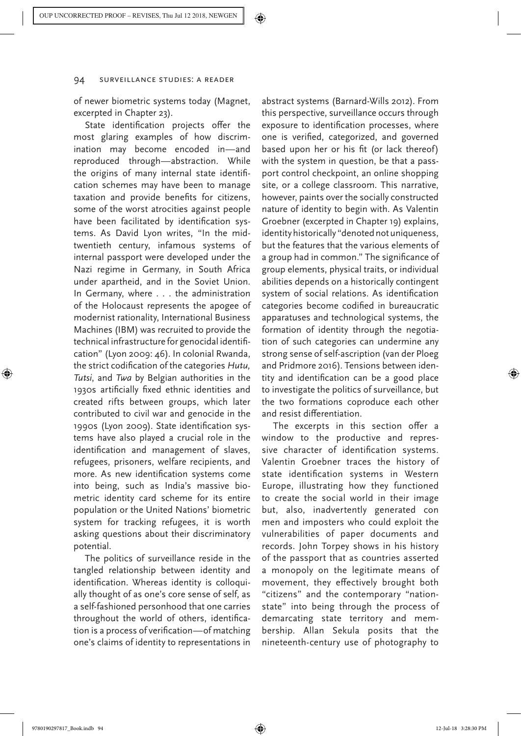of newer biometric systems today (Magnet, excerpted in Chapter 23).

State identification projects offer the most glaring examples of how discrimination may become encoded in—and reproduced through—abstraction. While the origins of many internal state identification schemes may have been to manage taxation and provide benefits for citizens, some of the worst atrocities against people have been facilitated by identification systems. As David Lyon writes, "In the midtwentieth century, infamous systems of internal passport were developed under the Nazi regime in Germany, in South Africa under apartheid, and in the Soviet Union. In Germany, where . . . the administration of the Holocaust represents the apogee of modernist rationality, International Business Machines (IBM) was recruited to provide the technical infrastructure for genocidal identification" (Lyon 2009: 46). In colonial Rwanda, the strict codification of the categories *Hutu, Tutsi*, and *Twa* by Belgian authorities in the 1930s artificially fixed ethnic identities and created rifts between groups, which later contributed to civil war and genocide in the 1990s (Lyon 2009). State identification systems have also played a crucial role in the identification and management of slaves, refugees, prisoners, welfare recipients, and more. As new identification systems come into being, such as India's massive biometric identity card scheme for its entire population or the United Nations' biometric system for tracking refugees, it is worth asking questions about their discriminatory potential.

The politics of surveillance reside in the tangled relationship between identity and identification. Whereas identity is colloquially thought of as one's core sense of self, as a self-fashioned personhood that one carries throughout the world of others, identification is a process of verification—of matching one's claims of identity to representations in

abstract systems (Barnard-Wills 2012). From this perspective, surveillance occurs through exposure to identification processes, where one is verified, categorized, and governed based upon her or his fit (or lack thereof) with the system in question, be that a passport control checkpoint, an online shopping site, or a college classroom. This narrative, however, paints over the socially constructed nature of identity to begin with. As Valentin Groebner (excerpted in Chapter 19) explains, identity historically "denoted not uniqueness, but the features that the various elements of a group had in common." The significance of group elements, physical traits, or individual abilities depends on a historically contingent system of social relations. As identification categories become codified in bureaucratic apparatuses and technological systems, the formation of identity through the negotiation of such categories can undermine any strong sense of self-ascription (van der Ploeg and Pridmore 2016). Tensions between identity and identification can be a good place to investigate the politics of surveillance, but the two formations coproduce each other and resist differentiation.

The excerpts in this section offer a window to the productive and repressive character of identification systems. Valentin Groebner traces the history of state identification systems in Western Europe, illustrating how they functioned to create the social world in their image but, also, inadvertently generated con men and imposters who could exploit the vulnerabilities of paper documents and records. John Torpey shows in his history of the passport that as countries asserted a monopoly on the legitimate means of movement, they effectively brought both "citizens" and the contemporary "nationstate" into being through the process of demarcating state territory and membership. Allan Sekula posits that the nineteenth-century use of photography to